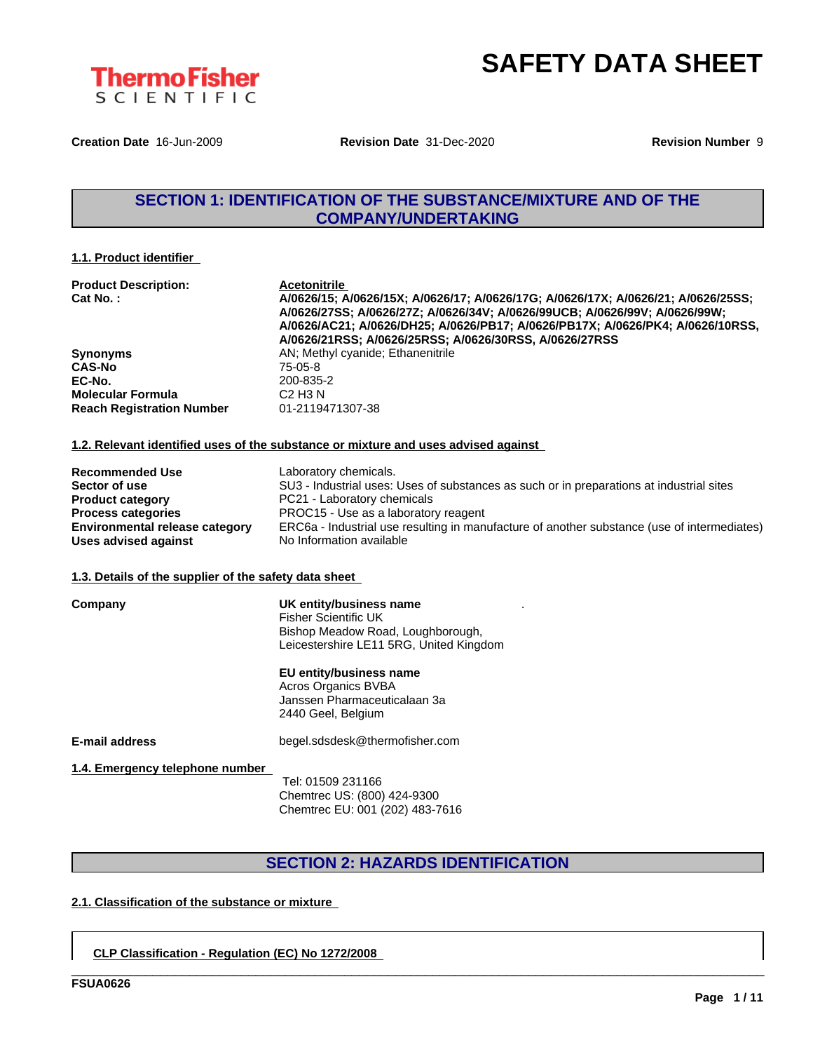

**Creation Date** 16-Jun-2009 **Revision Date** 31-Dec-2020 **Revision Number** 9

# **SECTION 1: IDENTIFICATION OF THE SUBSTANCE/MIXTURE AND OF THE COMPANY/UNDERTAKING**

#### **1.1. Product identifier**

| <b>Product Description:</b><br>Cat No.: | <b>Acetonitrile</b><br>A/0626/15; A/0626/15X; A/0626/17; A/0626/17G; A/0626/17X; A/0626/21; A/0626/25SS;<br>A/0626/27SS; A/0626/27Z; A/0626/34V; A/0626/99UCB; A/0626/99V; A/0626/99W;<br>A/0626/AC21; A/0626/DH25; A/0626/PB17; A/0626/PB17X; A/0626/PK4; A/0626/10RSS,<br>A/0626/21RSS; A/0626/25RSS; A/0626/30RSS, A/0626/27RSS |
|-----------------------------------------|------------------------------------------------------------------------------------------------------------------------------------------------------------------------------------------------------------------------------------------------------------------------------------------------------------------------------------|
| <b>Synonyms</b>                         | AN; Methyl cyanide; Ethanenitrile                                                                                                                                                                                                                                                                                                  |
| <b>CAS-No</b>                           | 75-05-8                                                                                                                                                                                                                                                                                                                            |
| EC-No.                                  | 200-835-2                                                                                                                                                                                                                                                                                                                          |
| <b>Molecular Formula</b>                | C <sub>2</sub> H <sub>3</sub> N                                                                                                                                                                                                                                                                                                    |
| <b>Reach Registration Number</b>        | 01-2119471307-38                                                                                                                                                                                                                                                                                                                   |

#### **1.2. Relevant identified uses of the substance or mixture and uses advised against**

| <b>Recommended Use</b>         | Laboratory chemicals.                                                                       |
|--------------------------------|---------------------------------------------------------------------------------------------|
| Sector of use                  | SU3 - Industrial uses: Uses of substances as such or in preparations at industrial sites    |
| <b>Product category</b>        | PC21 - Laboratory chemicals                                                                 |
| <b>Process categories</b>      | PROC15 - Use as a laboratory reagent                                                        |
| Environmental release category | ERC6a - Industrial use resulting in manufacture of another substance (use of intermediates) |
| Uses advised against           | No Information available                                                                    |

.

#### **1.3. Details of the supplier of the safety data sheet**

#### **Company UK entity/business name** Fisher Scientific UK Bishop Meadow Road, Loughborough,

Leicestershire LE11 5RG, United Kingdom

#### **EU entity/business name**

Acros Organics BVBA Janssen Pharmaceuticalaan 3a 2440 Geel, Belgium

**E-mail address** begel.sdsdesk@thermofisher.com

**1.4. Emergency telephone number**

Tel: 01509 231166 Chemtrec US: (800) 424-9300 Chemtrec EU: 001 (202) 483-7616

## **SECTION 2: HAZARDS IDENTIFICATION**

\_\_\_\_\_\_\_\_\_\_\_\_\_\_\_\_\_\_\_\_\_\_\_\_\_\_\_\_\_\_\_\_\_\_\_\_\_\_\_\_\_\_\_\_\_\_\_\_\_\_\_\_\_\_\_\_\_\_\_\_\_\_\_\_\_\_\_\_\_\_\_\_\_\_\_\_\_\_\_\_\_\_\_\_\_\_\_\_\_\_\_\_\_\_

### **2.1. Classification of the substance or mixture**

### **CLP Classification - Regulation (EC) No 1272/2008**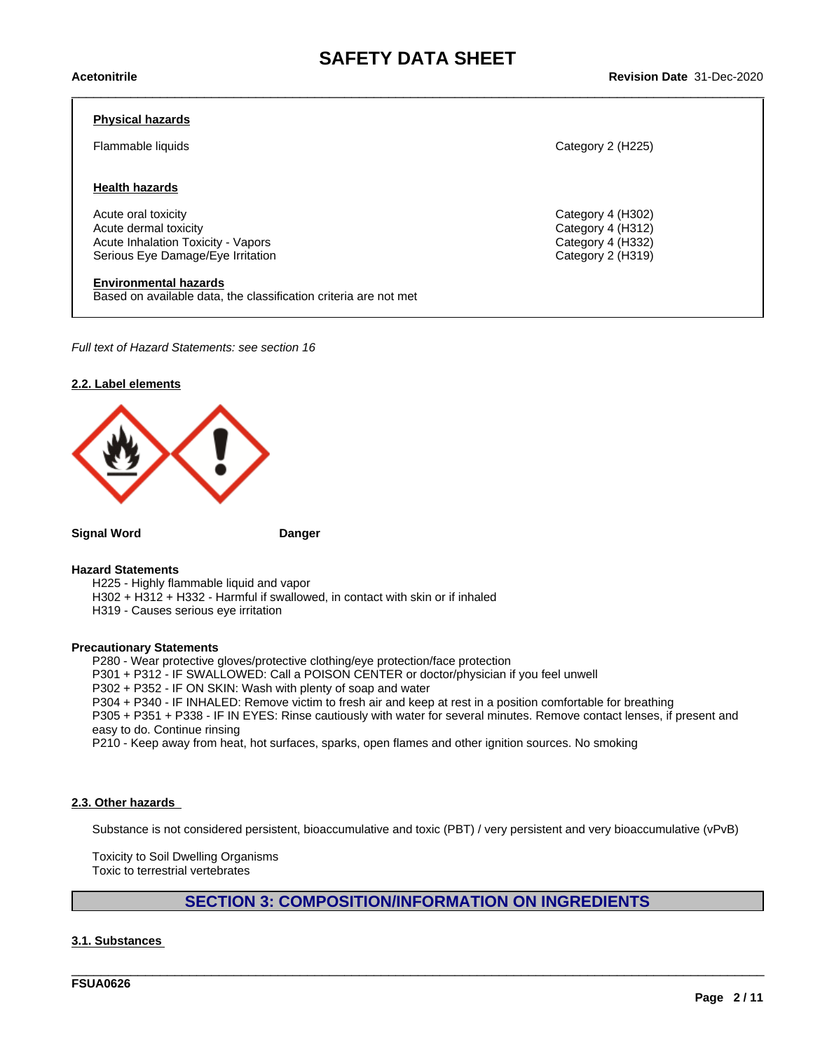#### **Physical hazards**

#### **Health hazards**

Acute oral toxicity Category 4 (H302) Acute dermal toxicity Category 4 (H312) Acute Inhalation Toxicity - Vapors Category 4 (H332) Serious Eye Damage/Eye Irritation **Category 2 (H319)** Category 2 (H319)

**Environmental hazards** Based on available data, the classification criteria are not met

*Full text of Hazard Statements: see section 16*

#### **2.2. Label elements**



**Signal Word Danger**

#### **Hazard Statements**

H225 - Highly flammable liquid and vapor

H302 + H312 + H332 - Harmful if swallowed, in contact with skin or if inhaled

H319 - Causes serious eye irritation

#### **Precautionary Statements**

P280 - Wear protective gloves/protective clothing/eye protection/face protection P301 + P312 - IF SWALLOWED: Call a POISON CENTER or doctor/physician if you feel unwell P302 + P352 - IF ON SKIN: Wash with plenty of soap and water

P304 + P340 - IF INHALED: Remove victim to fresh air and keep atrest in a position comfortable for breathing

P305 + P351 + P338 - IF IN EYES: Rinse cautiously with water for several minutes. Remove contact lenses, if present and easy to do. Continue rinsing

P210 - Keep away from heat, hot surfaces, sparks, open flames and other ignition sources. No smoking

#### **2.3. Other hazards**

Substance is not considered persistent, bioaccumulative and toxic (PBT) / very persistent and very bioaccumulative (vPvB)

Toxicity to Soil Dwelling Organisms Toxic to terrestrial vertebrates

**SECTION 3: COMPOSITION/INFORMATION ON INGREDIENTS**

\_\_\_\_\_\_\_\_\_\_\_\_\_\_\_\_\_\_\_\_\_\_\_\_\_\_\_\_\_\_\_\_\_\_\_\_\_\_\_\_\_\_\_\_\_\_\_\_\_\_\_\_\_\_\_\_\_\_\_\_\_\_\_\_\_\_\_\_\_\_\_\_\_\_\_\_\_\_\_\_\_\_\_\_\_\_\_\_\_\_\_\_\_\_

#### **3.1. Substances**

**FSUA0626**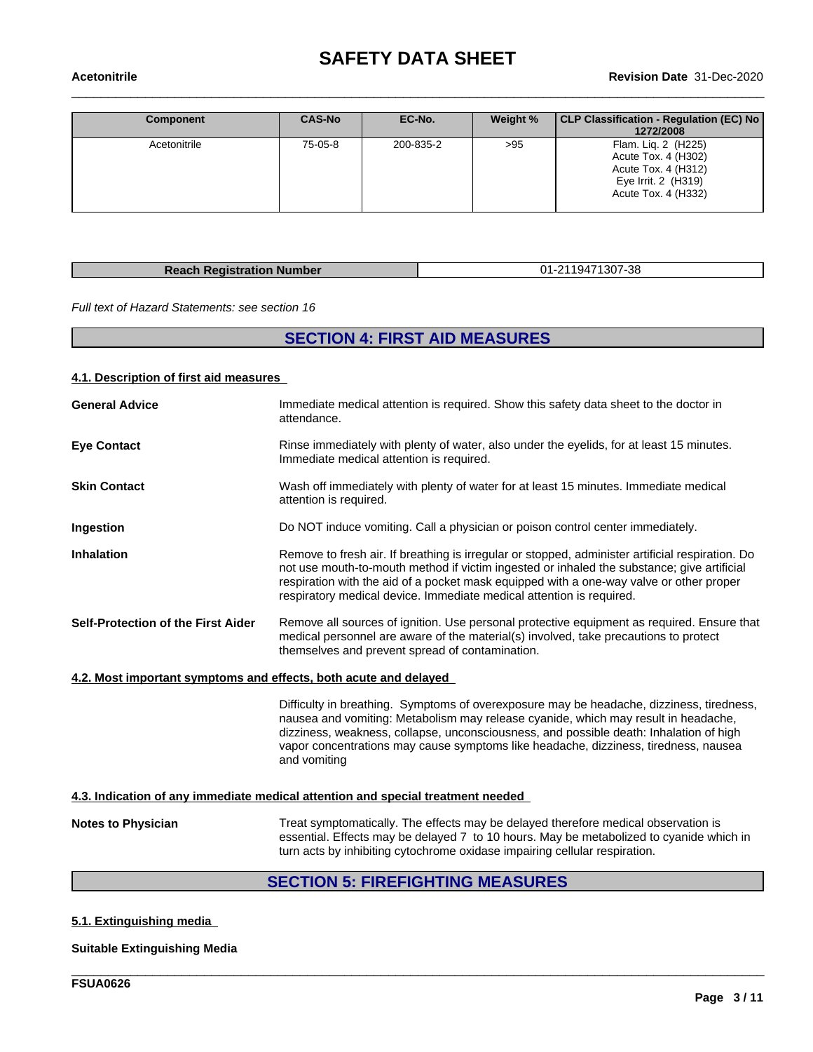| Component    | <b>CAS-No</b> | EC-No.    | Weight % | CLP Classification - Regulation (EC) No<br>1272/2008                                                            |
|--------------|---------------|-----------|----------|-----------------------------------------------------------------------------------------------------------------|
| Acetonitrile | 75-05-8       | 200-835-2 | >95      | Flam. Lig. 2 (H225)<br>Acute Tox. 4 (H302)<br>Acute Tox. 4 (H312)<br>Eye Irrit. 2 (H319)<br>Acute Tox. 4 (H332) |

| <b>Reach Registration Number</b> | 01-2119471307-38 |
|----------------------------------|------------------|

*Full text of Hazard Statements: see section 16*

# **SECTION 4: FIRST AID MEASURES**

#### **4.1. Description of first aid measures**

| <b>General Advice</b>                                            | Immediate medical attention is required. Show this safety data sheet to the doctor in<br>attendance.                                                                                                                                                                                                                                                                            |
|------------------------------------------------------------------|---------------------------------------------------------------------------------------------------------------------------------------------------------------------------------------------------------------------------------------------------------------------------------------------------------------------------------------------------------------------------------|
| <b>Eye Contact</b>                                               | Rinse immediately with plenty of water, also under the eyelids, for at least 15 minutes.<br>Immediate medical attention is required.                                                                                                                                                                                                                                            |
| <b>Skin Contact</b>                                              | Wash off immediately with plenty of water for at least 15 minutes. Immediate medical<br>attention is required.                                                                                                                                                                                                                                                                  |
| Ingestion                                                        | Do NOT induce vomiting. Call a physician or poison control center immediately.                                                                                                                                                                                                                                                                                                  |
| <b>Inhalation</b>                                                | Remove to fresh air. If breathing is irregular or stopped, administer artificial respiration. Do<br>not use mouth-to-mouth method if victim ingested or inhaled the substance; give artificial<br>respiration with the aid of a pocket mask equipped with a one-way valve or other proper<br>respiratory medical device. Immediate medical attention is required.               |
| Self-Protection of the First Aider                               | Remove all sources of ignition. Use personal protective equipment as required. Ensure that<br>medical personnel are aware of the material(s) involved, take precautions to protect<br>themselves and prevent spread of contamination.                                                                                                                                           |
| 4.2. Most important symptoms and effects, both acute and delayed |                                                                                                                                                                                                                                                                                                                                                                                 |
|                                                                  | Difficulty in breathing. Symptoms of overexposure may be headache, dizziness, tiredness,<br>nausea and vomiting: Metabolism may release cyanide, which may result in headache,<br>dizziness, weakness, collapse, unconsciousness, and possible death: Inhalation of high<br>vapor concentrations may cause symptoms like headache, dizziness, tiredness, nausea<br>and vomiting |
|                                                                  | 4.3. Indication of any immediate medical attention and special treatment needed                                                                                                                                                                                                                                                                                                 |
| <b>Notes to Physician</b>                                        | Treat symptomatically. The effects may be delayed therefore medical observation is<br>essential. Effects may be delayed 7 to 10 hours. May be metabolized to cyanide which in<br>turn acts by inhibiting cytochrome oxidase impairing cellular respiration.                                                                                                                     |
|                                                                  | <b>SECTION 5: EIREFIGHTING MEASLIRES</b>                                                                                                                                                                                                                                                                                                                                        |

### **SECTION 5: FIREFIGHTING MEASURES**

\_\_\_\_\_\_\_\_\_\_\_\_\_\_\_\_\_\_\_\_\_\_\_\_\_\_\_\_\_\_\_\_\_\_\_\_\_\_\_\_\_\_\_\_\_\_\_\_\_\_\_\_\_\_\_\_\_\_\_\_\_\_\_\_\_\_\_\_\_\_\_\_\_\_\_\_\_\_\_\_\_\_\_\_\_\_\_\_\_\_\_\_\_\_

### **5.1. Extinguishing media**

#### **Suitable Extinguishing Media**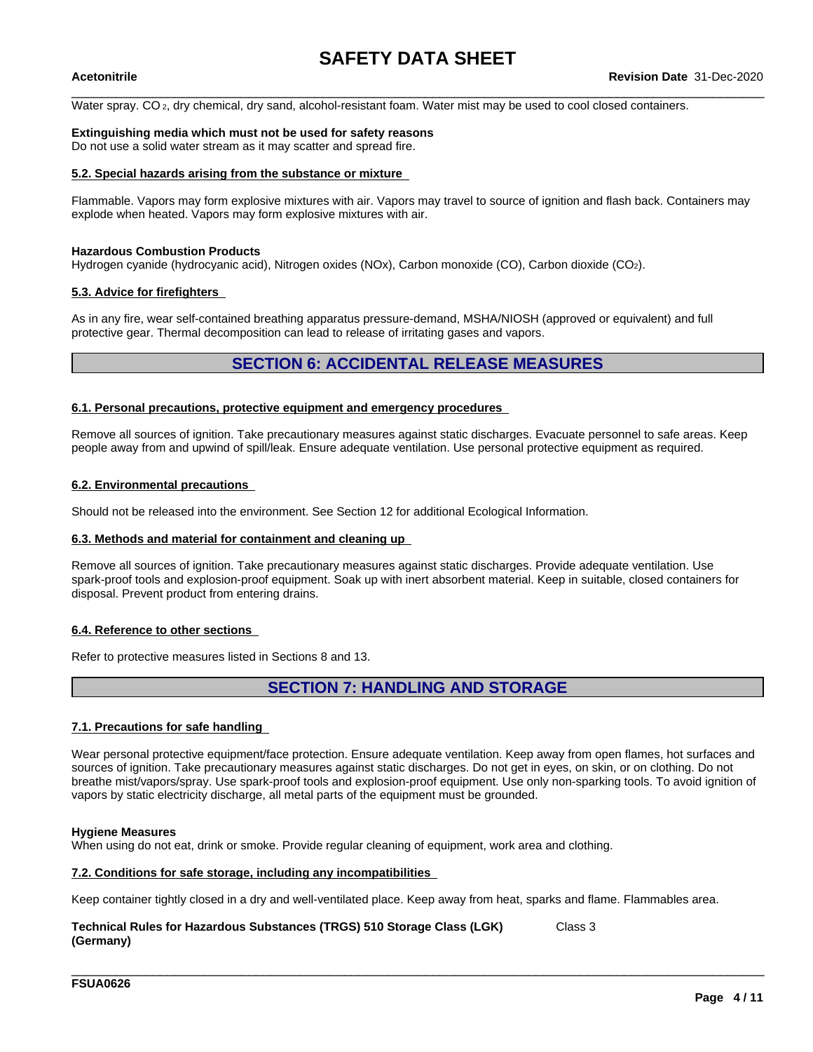Water spray. CO<sub>2</sub>, dry chemical, dry sand, alcohol-resistant foam. Water mist may be used to cool closed containers.

#### **Extinguishing media which must not be used for safety reasons**

Do not use a solid water stream as it may scatter and spread fire.

#### **5.2. Special hazards arising from the substance or mixture**

Flammable. Vapors may form explosive mixtures with air. Vapors may travel to source of ignition and flash back. Containers may explode when heated. Vapors may form explosive mixtures with air.

#### **Hazardous Combustion Products**

Hydrogen cyanide (hydrocyanic acid), Nitrogen oxides (NOx), Carbon monoxide (CO), Carbon dioxide (CO2).

#### **5.3. Advice for firefighters**

As in any fire, wear self-contained breathing apparatus pressure-demand, MSHA/NIOSH (approved or equivalent) and full protective gear. Thermal decomposition can lead to release of irritating gases and vapors.

### **SECTION 6: ACCIDENTAL RELEASE MEASURES**

#### **6.1. Personal precautions, protective equipment and emergency procedures**

Remove all sources of ignition. Take precautionary measures against static discharges. Evacuate personnel to safe areas. Keep people away from and upwind of spill/leak. Ensure adequate ventilation. Use personal protective equipment as required.

#### **6.2. Environmental precautions**

Should not be released into the environment. See Section 12 for additional Ecological Information.

#### **6.3. Methods and material for containment and cleaning up**

Remove all sources of ignition. Take precautionary measures against static discharges. Provide adequate ventilation. Use spark-proof tools and explosion-proof equipment. Soak up with inert absorbent material. Keep in suitable, closed containers for disposal. Prevent product from entering drains.

#### **6.4. Reference to other sections**

Refer to protective measures listed in Sections 8 and 13.

## **SECTION 7: HANDLING AND STORAGE**

#### **7.1. Precautions for safe handling**

Wear personal protective equipment/face protection. Ensure adequate ventilation. Keep away from open flames, hot surfaces and sources of ignition. Take precautionary measures against static discharges. Do not get in eyes, on skin, or on clothing. Do not breathe mist/vapors/spray. Use spark-proof tools and explosion-proof equipment. Use only non-sparking tools. To avoid ignition of vapors by static electricity discharge, all metal parts of the equipment must be grounded.

#### **Hygiene Measures**

When using do not eat, drink or smoke. Provide regular cleaning of equipment, work area and clothing.

#### **7.2. Conditions for safe storage, including any incompatibilities**

Keep container tightly closed in a dry and well-ventilated place. Keep away from heat, sparks and flame. Flammables area.

\_\_\_\_\_\_\_\_\_\_\_\_\_\_\_\_\_\_\_\_\_\_\_\_\_\_\_\_\_\_\_\_\_\_\_\_\_\_\_\_\_\_\_\_\_\_\_\_\_\_\_\_\_\_\_\_\_\_\_\_\_\_\_\_\_\_\_\_\_\_\_\_\_\_\_\_\_\_\_\_\_\_\_\_\_\_\_\_\_\_\_\_\_\_

#### **Technical Rules for Hazardous Substances (TRGS) 510 Storage Class (LGK) (Germany)** Class 3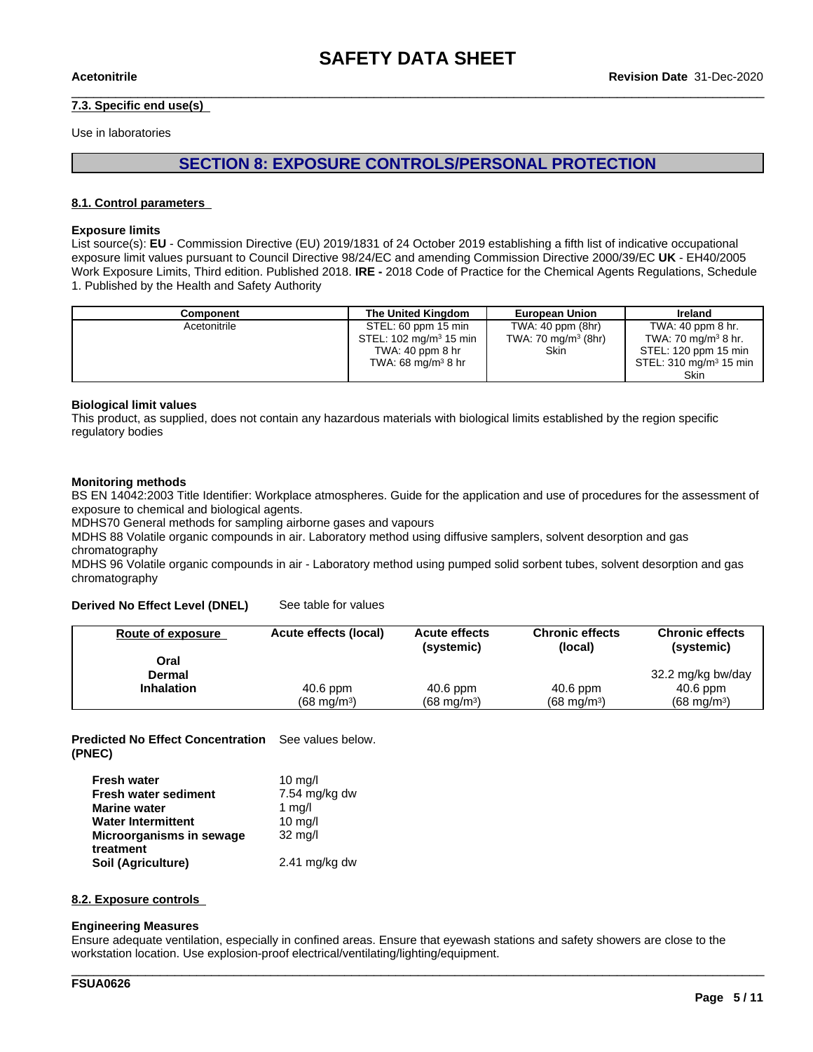#### **7.3. Specific end use(s)**

Use in laboratories

### **SECTION 8: EXPOSURE CONTROLS/PERSONAL PROTECTION**

#### **8.1. Control parameters**

#### **Exposure limits**

List source(s): **EU** - Commission Directive (EU) 2019/1831 of 24 October 2019 establishing a fifth list ofindicative occupational exposure limit values pursuant to Council Directive 98/24/EC and amending Commission Directive 2000/39/EC UK - EH40/2005 Work Exposure Limits, Third edition. Published 2018. **IRE -** 2018 Code of Practice for the Chemical Agents Regulations, Schedule 1. Published by the Health and Safety Authority

| Component    | The United Kingdom                 | <b>European Union</b>  | Ireland                     |
|--------------|------------------------------------|------------------------|-----------------------------|
| Acetonitrile | STEL: 60 ppm 15 min                | TWA: 40 ppm (8hr)      | TWA: 40 ppm 8 hr.           |
|              | STEL: 102 mg/m <sup>3</sup> 15 min | TWA: 70 mg/m $3$ (8hr) | TWA: 70 mg/m $3$ 8 hr.      |
|              | TWA: $40$ ppm $8$ hr               | Skin                   | STEL: 120 ppm 15 min        |
|              | TWA: 68 mg/m $3$ 8 hr              |                        | $STEL: 310$ mg/m $3$ 15 min |
|              |                                    |                        | Skin                        |

#### **Biological limit values**

This product, as supplied, does not contain any hazardous materials with biological limits established by the region specific regulatory bodies

#### **Monitoring methods**

BS EN 14042:2003 Title Identifier: Workplace atmospheres. Guide for the application and use of procedures for the assessment of exposure to chemical and biological agents.

MDHS70 General methods for sampling airborne gases and vapours

MDHS 88 Volatile organic compounds in air. Laboratory method using diffusive samplers, solvent desorption and gas chromatography

MDHS 96 Volatile organic compounds in air - Laboratory method using pumped solid sorbent tubes, solvent desorption and gas chromatography

#### **Derived No Effect Level (DNEL)** See table for values

| <b>Route of exposure</b> | Acute effects (local) | <b>Acute effects</b><br>(systemic) | <b>Chronic effects</b><br>(local) | <b>Chronic effects</b><br>(systemic) |
|--------------------------|-----------------------|------------------------------------|-----------------------------------|--------------------------------------|
| Oral                     |                       |                                    |                                   |                                      |
| <b>Dermal</b>            |                       |                                    |                                   | 32.2 mg/kg bw/day                    |
| <b>Inhalation</b>        | 40.6 ppm              | $40.6$ ppm                         | $40.6$ ppm                        | $40.6$ ppm                           |
|                          | $(68 \text{ mg/m}^3)$ | $(68 \text{ mg/m}^3)$              | $(68 \text{ mg/m}^3)$             | $(68 \text{ mg/m}^3)$                |

**Predicted No Effect Concentration** See values below. **(PNEC)**

| <b>Fresh water</b>          | 10 mg/l                 |
|-----------------------------|-------------------------|
| <b>Fresh water sediment</b> | 7.54 mg/kg dw           |
| <b>Marine water</b>         | 1 $mq/l$                |
| <b>Water Intermittent</b>   | $10 \text{ mg/l}$       |
| Microorganisms in sewage    | $32 \text{ mg/l}$       |
| treatment                   |                         |
| Soil (Agriculture)          | $2.41 \text{ mg/kg}$ dw |

#### **8.2. Exposure controls**

#### **Engineering Measures**

Ensure adequate ventilation, especially in confined areas. Ensure that eyewash stations and safety showers are close to the workstation location. Use explosion-proof electrical/ventilating/lighting/equipment.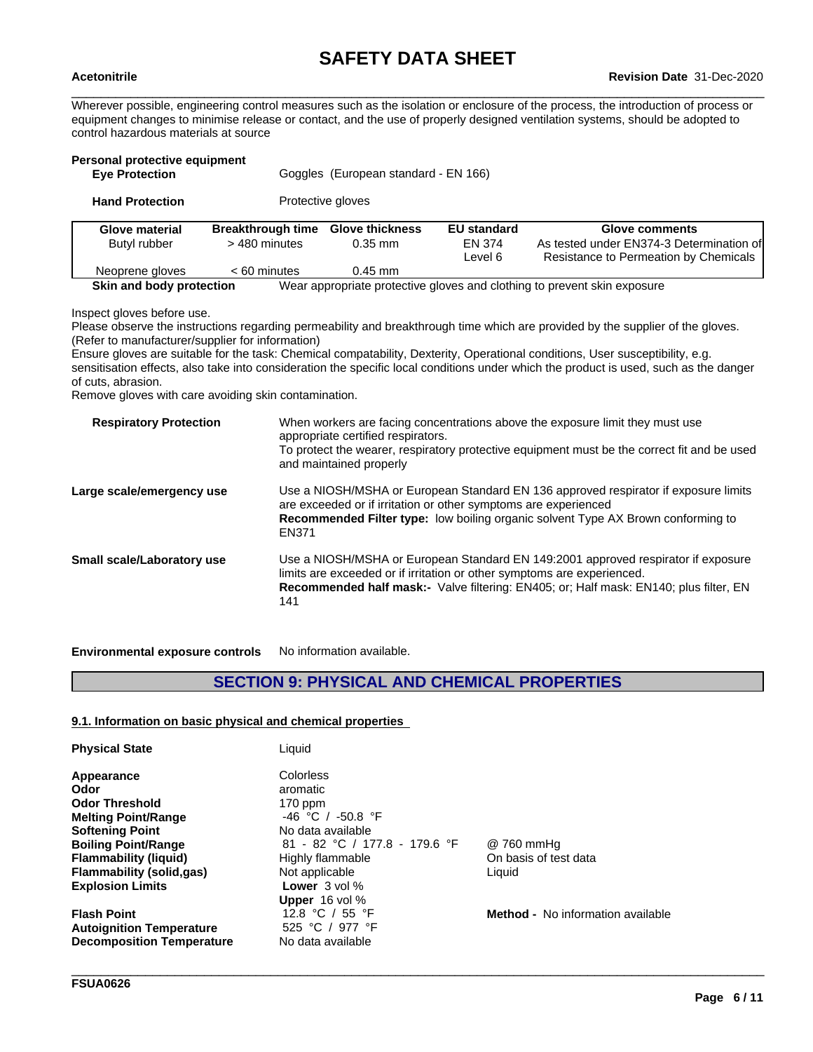Wherever possible, engineering control measures such as the isolation or enclosure of the process, the introduction of process or equipment changes to minimise release or contact, and the use of properly designed ventilation systems, should be adopted to control hazardous materials at source

| Personal protective equipment<br><b>Eve Protection</b> |                                           | Goggles (European standard - EN 166) |                                         |                                                                                                     |
|--------------------------------------------------------|-------------------------------------------|--------------------------------------|-----------------------------------------|-----------------------------------------------------------------------------------------------------|
| <b>Hand Protection</b>                                 |                                           | Protective gloves                    |                                         |                                                                                                     |
| Glove material<br>Butyl rubber                         | <b>Breakthrough time</b><br>> 480 minutes | <b>Glove thickness</b><br>$0.35$ mm  | <b>EU</b> standard<br>EN 374<br>Level 6 | Glove comments<br>As tested under EN374-3 Determination of<br>Resistance to Permeation by Chemicals |
| Neoprene gloves                                        | $< 60$ minutes                            | $0.45$ mm                            |                                         |                                                                                                     |
| Skin and body protection                               |                                           |                                      |                                         | Wear appropriate protective gloves and clothing to prevent skin exposure                            |

Inspect gloves before use.

Please observe the instructions regarding permeability and breakthrough time which are provided by the supplier of the gloves. (Refer to manufacturer/supplier for information)

Ensure gloves are suitable for the task: Chemical compatability, Dexterity, Operational conditions, User susceptibility, e.g. sensitisation effects, also take into consideration the specific local conditions under which the product is used, such as the danger of cuts, abrasion.

Remove gloves with care avoiding skin contamination.

| <b>Respiratory Protection</b> | When workers are facing concentrations above the exposure limit they must use<br>appropriate certified respirators.<br>To protect the wearer, respiratory protective equipment must be the correct fit and be used<br>and maintained properly                       |
|-------------------------------|---------------------------------------------------------------------------------------------------------------------------------------------------------------------------------------------------------------------------------------------------------------------|
| Large scale/emergency use     | Use a NIOSH/MSHA or European Standard EN 136 approved respirator if exposure limits<br>are exceeded or if irritation or other symptoms are experienced<br>Recommended Filter type: low boiling organic solvent Type AX Brown conforming to<br>EN371                 |
| Small scale/Laboratory use    | Use a NIOSH/MSHA or European Standard EN 149:2001 approved respirator if exposure<br>limits are exceeded or if irritation or other symptoms are experienced.<br><b>Recommended half mask:-</b> Valve filtering: EN405; or; Half mask: EN140; plus filter, EN<br>141 |
|                               |                                                                                                                                                                                                                                                                     |

**Environmental exposure controls** No information available.

# **SECTION 9: PHYSICAL AND CHEMICAL PROPERTIES**

#### **9.1. Information on basic physical and chemical properties**

| <b>Physical State</b>            | Liquid                        |                                          |
|----------------------------------|-------------------------------|------------------------------------------|
| Appearance                       | Colorless                     |                                          |
| Odor                             | aromatic                      |                                          |
| <b>Odor Threshold</b>            | $170$ ppm                     |                                          |
| <b>Melting Point/Range</b>       | $-46$ °C / $-50.8$ °F         |                                          |
| <b>Softening Point</b>           | No data available             |                                          |
| <b>Boiling Point/Range</b>       | 81 - 82 °C / 177.8 - 179.6 °F | @ 760 mmHg                               |
| <b>Flammability (liquid)</b>     | Highly flammable              | On basis of test data                    |
| <b>Flammability (solid,gas)</b>  | Not applicable                | Liquid                                   |
| <b>Explosion Limits</b>          | <b>Lower</b> $3$ vol $\%$     |                                          |
|                                  | <b>Upper</b> $16$ vol $\%$    |                                          |
| <b>Flash Point</b>               | 12.8 °C / 55 °F               | <b>Method -</b> No information available |
| <b>Autoignition Temperature</b>  | 525 °C / 977 °F               |                                          |
| <b>Decomposition Temperature</b> | No data available             |                                          |

\_\_\_\_\_\_\_\_\_\_\_\_\_\_\_\_\_\_\_\_\_\_\_\_\_\_\_\_\_\_\_\_\_\_\_\_\_\_\_\_\_\_\_\_\_\_\_\_\_\_\_\_\_\_\_\_\_\_\_\_\_\_\_\_\_\_\_\_\_\_\_\_\_\_\_\_\_\_\_\_\_\_\_\_\_\_\_\_\_\_\_\_\_\_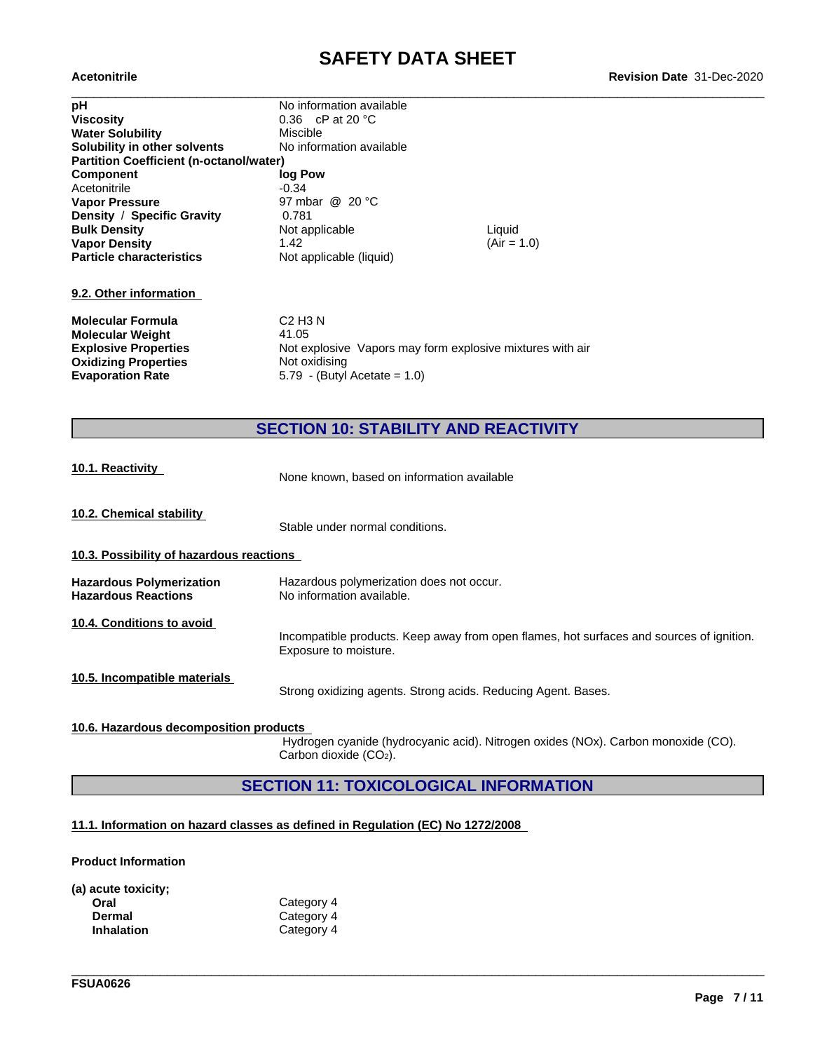| <b>Acetonitrile</b>                            |                                                           |               | <b>Revision Date 31-Dec-2020</b> |
|------------------------------------------------|-----------------------------------------------------------|---------------|----------------------------------|
| рH                                             | No information available                                  |               |                                  |
| <b>Viscosity</b>                               | 0.36 $\,$ cP at 20 $\,^{\circ}$ C                         |               |                                  |
| <b>Water Solubility</b>                        | Miscible                                                  |               |                                  |
| Solubility in other solvents                   | No information available                                  |               |                                  |
| <b>Partition Coefficient (n-octanol/water)</b> |                                                           |               |                                  |
| <b>Component</b>                               | log Pow                                                   |               |                                  |
| Acetonitrile                                   | $-0.34$                                                   |               |                                  |
| <b>Vapor Pressure</b>                          | 97 mbar @ 20 °C                                           |               |                                  |
| Density / Specific Gravity                     | 0.781                                                     |               |                                  |
| <b>Bulk Density</b>                            | Not applicable                                            | Liquid        |                                  |
| <b>Vapor Density</b>                           | 1.42                                                      | $(Air = 1.0)$ |                                  |
| <b>Particle characteristics</b>                | Not applicable (liquid)                                   |               |                                  |
| 9.2. Other information                         |                                                           |               |                                  |
| <b>Molecular Formula</b>                       | $C2$ H <sub>3</sub> N                                     |               |                                  |
| <b>Molecular Weight</b>                        | 41.05                                                     |               |                                  |
| <b>Explosive Properties</b>                    | Not explosive Vapors may form explosive mixtures with air |               |                                  |
| <b>Oxidizing Properties</b>                    | Not oxidising                                             |               |                                  |
| <b>Evaporation Rate</b>                        | 5.79 - (Butyl Acetate = $1.0$ )                           |               |                                  |

# **SECTION 10: STABILITY AND REACTIVITY**

| 10.1. Reactivity                                              | None known, based on information available                                                                        |
|---------------------------------------------------------------|-------------------------------------------------------------------------------------------------------------------|
| 10.2. Chemical stability                                      | Stable under normal conditions.                                                                                   |
| 10.3. Possibility of hazardous reactions                      |                                                                                                                   |
| <b>Hazardous Polymerization</b><br><b>Hazardous Reactions</b> | Hazardous polymerization does not occur.<br>No information available.                                             |
| 10.4. Conditions to avoid                                     | Incompatible products. Keep away from open flames, hot surfaces and sources of ignition.<br>Exposure to moisture. |
| 10.5. Incompatible materials                                  | Strong oxidizing agents. Strong acids. Reducing Agent. Bases.                                                     |
| 10.6. Hazardous decomposition products                        |                                                                                                                   |

Hydrogen cyanide (hydrocyanic acid). Nitrogen oxides (NOx). Carbon monoxide (CO). Carbon dioxide (CO<sub>2</sub>).

\_\_\_\_\_\_\_\_\_\_\_\_\_\_\_\_\_\_\_\_\_\_\_\_\_\_\_\_\_\_\_\_\_\_\_\_\_\_\_\_\_\_\_\_\_\_\_\_\_\_\_\_\_\_\_\_\_\_\_\_\_\_\_\_\_\_\_\_\_\_\_\_\_\_\_\_\_\_\_\_\_\_\_\_\_\_\_\_\_\_\_\_\_\_

# **SECTION 11: TOXICOLOGICAL INFORMATION**

### **11.1. Information on hazard classes as defined in Regulation (EC) No 1272/2008**

#### **Product Information**

| (a) acute toxicity; |            |
|---------------------|------------|
| Oral                | Category 4 |
| Dermal              | Category 4 |
| <b>Inhalation</b>   | Category 4 |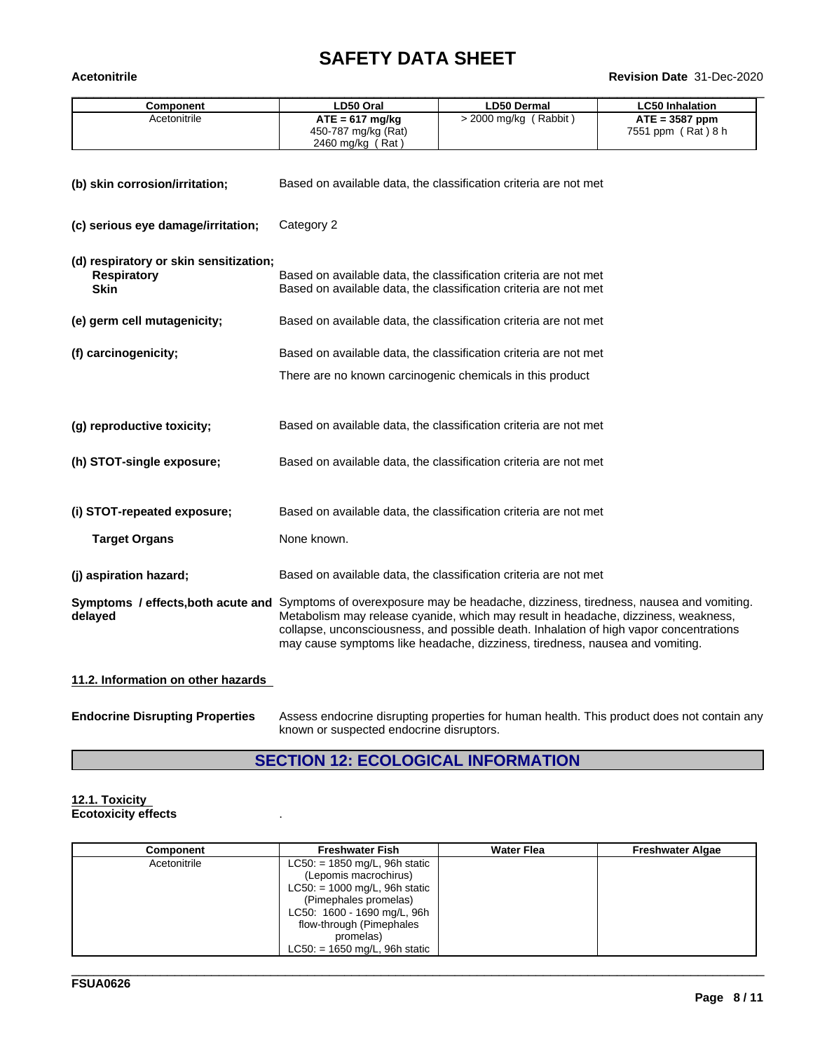# **SAFETY DATA SHEET**<br>Revision Date 31-Dec-2020

| <b>Acetonitrile</b>                                                                                                                |                                                                  |                                                                                                                                                                                                                                                              | Revision Date 31-Dec-2020                         |
|------------------------------------------------------------------------------------------------------------------------------------|------------------------------------------------------------------|--------------------------------------------------------------------------------------------------------------------------------------------------------------------------------------------------------------------------------------------------------------|---------------------------------------------------|
| <b>Component</b>                                                                                                                   | LD50 Oral                                                        | <b>LD50 Dermal</b>                                                                                                                                                                                                                                           | <b>LC50 Inhalation</b>                            |
| Acetonitrile                                                                                                                       | $ATE = 617$ mg/kg<br>450-787 mg/kg (Rat)<br>2460 mg/kg (Rat)     | > 2000 mg/kg (Rabbit)                                                                                                                                                                                                                                        | $\overline{ATE}$ = 3587 ppm<br>7551 ppm (Rat) 8 h |
| (b) skin corrosion/irritation;                                                                                                     |                                                                  | Based on available data, the classification criteria are not met                                                                                                                                                                                             |                                                   |
| (c) serious eye damage/irritation;                                                                                                 | Category 2                                                       |                                                                                                                                                                                                                                                              |                                                   |
| (d) respiratory or skin sensitization;<br><b>Respiratory</b><br><b>Skin</b>                                                        |                                                                  | Based on available data, the classification criteria are not met<br>Based on available data, the classification criteria are not met                                                                                                                         |                                                   |
| (e) germ cell mutagenicity;                                                                                                        |                                                                  | Based on available data, the classification criteria are not met                                                                                                                                                                                             |                                                   |
| (f) carcinogenicity;                                                                                                               | Based on available data, the classification criteria are not met |                                                                                                                                                                                                                                                              |                                                   |
|                                                                                                                                    |                                                                  | There are no known carcinogenic chemicals in this product                                                                                                                                                                                                    |                                                   |
| (g) reproductive toxicity;                                                                                                         |                                                                  | Based on available data, the classification criteria are not met                                                                                                                                                                                             |                                                   |
| (h) STOT-single exposure;                                                                                                          |                                                                  | Based on available data, the classification criteria are not met                                                                                                                                                                                             |                                                   |
| (i) STOT-repeated exposure;                                                                                                        |                                                                  | Based on available data, the classification criteria are not met                                                                                                                                                                                             |                                                   |
| <b>Target Organs</b>                                                                                                               | None known.                                                      |                                                                                                                                                                                                                                                              |                                                   |
| (j) aspiration hazard;                                                                                                             |                                                                  | Based on available data, the classification criteria are not met                                                                                                                                                                                             |                                                   |
| Symptoms / effects, both acute and Symptoms of overexposure may be headache, dizziness, tiredness, nausea and vomiting.<br>delayed |                                                                  | Metabolism may release cyanide, which may result in headache, dizziness, weakness,<br>collapse, unconsciousness, and possible death. Inhalation of high vapor concentrations<br>may cause symptoms like headache, dizziness, tiredness, nausea and vomiting. |                                                   |
| 11.3. Information on other hozarde                                                                                                 |                                                                  |                                                                                                                                                                                                                                                              |                                                   |

#### **11.2. Information on other hazards**

| <b>Endocrine Disrupting Properties</b> | Assess endocrine disrupting properties for human health. This product does not contain any |
|----------------------------------------|--------------------------------------------------------------------------------------------|
|                                        | known or suspected endocrine disruptors.                                                   |

# **SECTION 12: ECOLOGICAL INFORMATION**

#### **12.1. Toxicity Ecotoxicity effects** .

| Component    | <b>Freshwater Fish</b>          | <b>Water Flea</b> | <b>Freshwater Algae</b> |
|--------------|---------------------------------|-------------------|-------------------------|
| Acetonitrile | $LC50: = 1850$ mg/L, 96h static |                   |                         |
|              | (Lepomis macrochirus)           |                   |                         |
|              | $LC50: = 1000$ mg/L, 96h static |                   |                         |
|              | (Pimephales promelas)           |                   |                         |
|              | LC50: 1600 - 1690 mg/L, 96h     |                   |                         |
|              | flow-through (Pimephales        |                   |                         |
|              | promelas)                       |                   |                         |
|              | $LC50: = 1650$ mg/L, 96h static |                   |                         |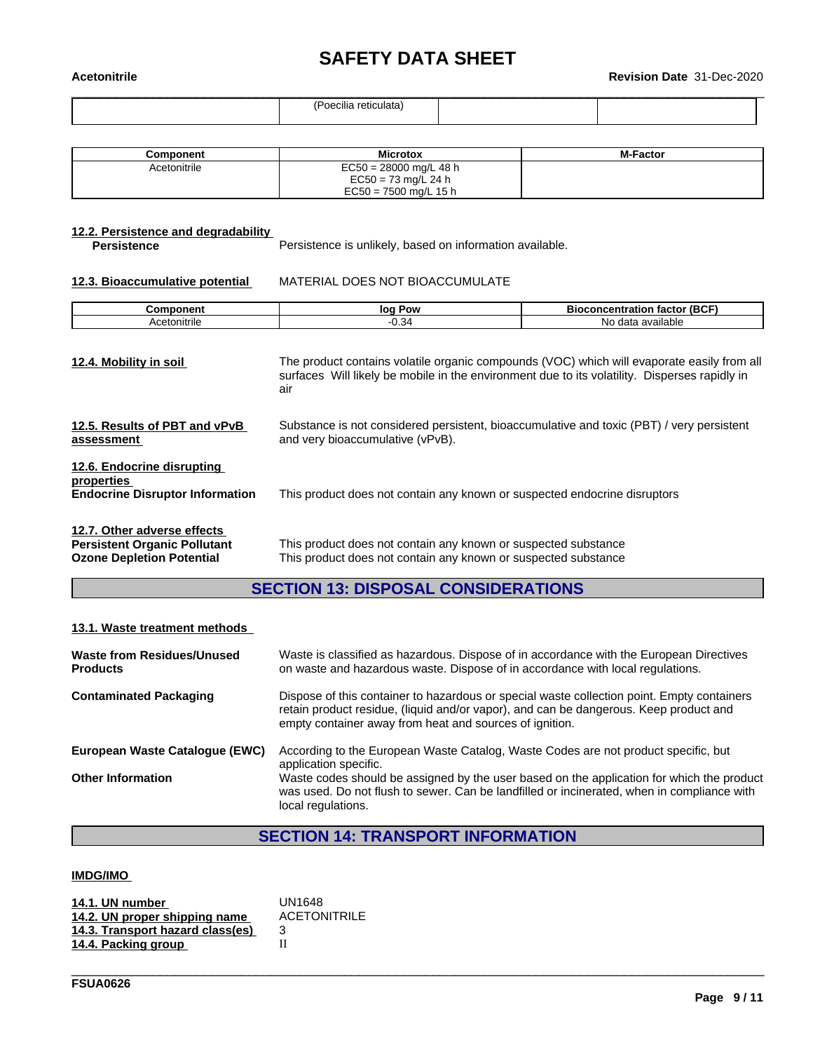# **SAFETY DATA SHEET**<br>Revision Date 31-Dec-2020

| .<br><b>Acetonitrile</b> |                       | <b>Revision Date 31-Dec-2020</b> |  |
|--------------------------|-----------------------|----------------------------------|--|
|                          | (Poecilia reticulata) |                                  |  |

| Component    | <b>Microtox</b>                                   | <b>M-Factor</b> |
|--------------|---------------------------------------------------|-----------------|
| Acetonitrile | $EC50 = 28000$ mg/L 48 h<br>$EC50 = 73$ mg/L 24 h |                 |
|              | $EC50 = 7500$ mg/L 15 h                           |                 |

# **12.2. Persistence and degradability**

Persistence is unlikely, based on information available.

#### **12.3. Bioaccumulative potential** MATERIAL DOES NOT BIOACCUMULATE

| ------           | Pow<br>I٥        | (B)<br>cation<br>тасто<br>-   |
|------------------|------------------|-------------------------------|
| ≏tonitrile<br>¬… | ≺<br>$-1$<br>◡.◡ | NС<br>--<br>available<br>171c |

| 12.4. Mobility in soil                                                                                 | The product contains volatile organic compounds (VOC) which will evaporate easily from all<br>surfaces Will likely be mobile in the environment due to its volatility. Disperses rapidly in<br>air |
|--------------------------------------------------------------------------------------------------------|----------------------------------------------------------------------------------------------------------------------------------------------------------------------------------------------------|
| 12.5. Results of PBT and vPvB<br>assessment                                                            | Substance is not considered persistent, bioaccumulative and toxic (PBT) / very persistent<br>and very bioaccumulative (vPvB).                                                                      |
| 12.6. Endocrine disrupting<br>properties<br><b>Endocrine Disruptor Information</b>                     | This product does not contain any known or suspected endocrine disruptors                                                                                                                          |
| 12.7. Other adverse effects<br><b>Persistent Organic Pollutant</b><br><b>Ozone Depletion Potential</b> | This product does not contain any known or suspected substance<br>This product does not contain any known or suspected substance                                                                   |

# **SECTION 13: DISPOSAL CONSIDERATIONS**

#### **13.1. Waste treatment methods**

| Waste from Residues/Unused<br><b>Products</b> | Waste is classified as hazardous. Dispose of in accordance with the European Directives<br>on waste and hazardous waste. Dispose of in accordance with local regulations.                                                                      |
|-----------------------------------------------|------------------------------------------------------------------------------------------------------------------------------------------------------------------------------------------------------------------------------------------------|
| <b>Contaminated Packaging</b>                 | Dispose of this container to hazardous or special waste collection point. Empty containers<br>retain product residue, (liquid and/or vapor), and can be dangerous. Keep product and<br>empty container away from heat and sources of ignition. |
| European Waste Catalogue (EWC)                | According to the European Waste Catalog, Waste Codes are not product specific, but<br>application specific.                                                                                                                                    |
| <b>Other Information</b>                      | Waste codes should be assigned by the user based on the application for which the product<br>was used. Do not flush to sewer. Can be landfilled or incinerated, when in compliance with<br>local regulations.                                  |

# **SECTION 14: TRANSPORT INFORMATION**

\_\_\_\_\_\_\_\_\_\_\_\_\_\_\_\_\_\_\_\_\_\_\_\_\_\_\_\_\_\_\_\_\_\_\_\_\_\_\_\_\_\_\_\_\_\_\_\_\_\_\_\_\_\_\_\_\_\_\_\_\_\_\_\_\_\_\_\_\_\_\_\_\_\_\_\_\_\_\_\_\_\_\_\_\_\_\_\_\_\_\_\_\_\_

#### **IMDG/IMO**

| 14.1. UN number                  | UN1648              |
|----------------------------------|---------------------|
| 14.2. UN proper shipping name    | <b>ACETONITRILE</b> |
| 14.3. Transport hazard class(es) |                     |
| 14.4. Packing group              |                     |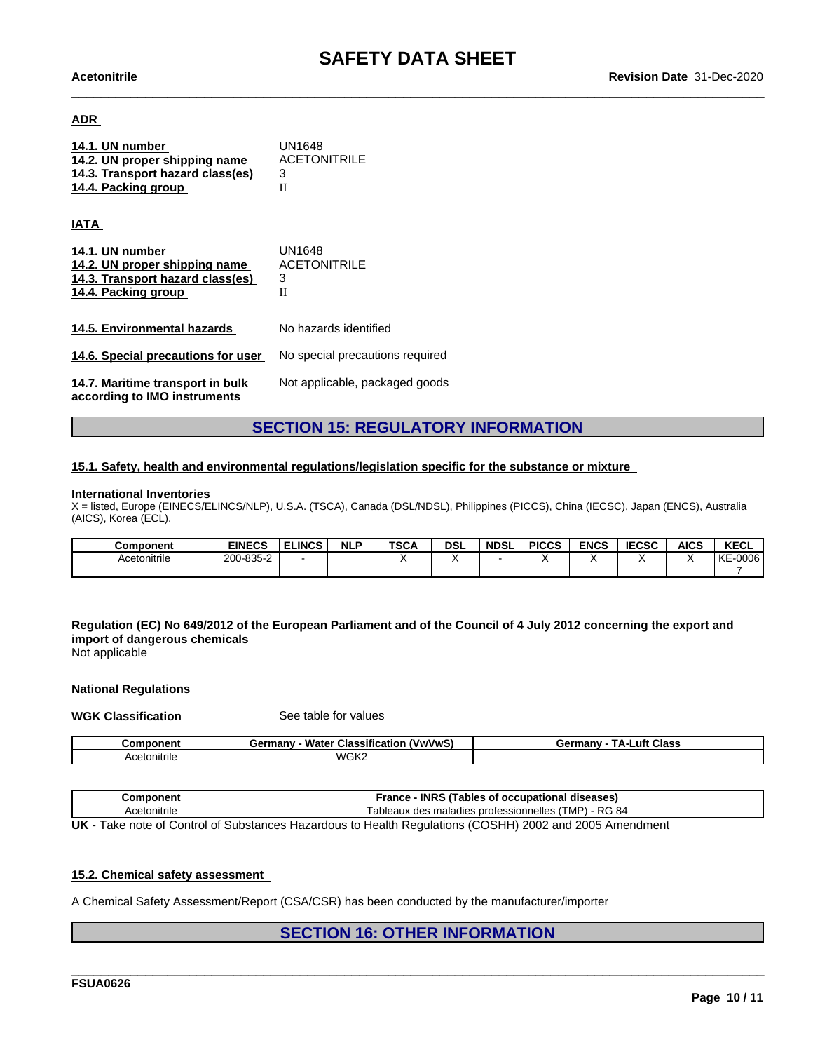#### **ADR**

| 14.1. UN number<br>14.2. UN proper shipping name<br>14.3. Transport hazard class(es)<br>14.4. Packing group | UN1648<br><b>ACETONITRILE</b><br>3<br>П |
|-------------------------------------------------------------------------------------------------------------|-----------------------------------------|
| <b>IATA</b>                                                                                                 |                                         |
| 14.1. UN number<br>14.2. UN proper shipping name<br>14.3. Transport hazard class(es)<br>14.4. Packing group | UN1648<br><b>ACETONITRILE</b><br>3<br>П |
| 14.5. Environmental hazards                                                                                 | No hazards identified                   |
| 14.6. Special precautions for user                                                                          | No special precautions required         |
| 14.7. Maritime transport in bulk<br>according to IMO instruments                                            | Not applicable, packaged goods          |

# **SECTION 15: REGULATORY INFORMATION**

#### **15.1. Safety, health and environmental regulations/legislation specific for the substance or mixture**

#### **International Inventories**

X = listed, Europe (EINECS/ELINCS/NLP), U.S.A. (TSCA), Canada (DSL/NDSL), Philippines (PICCS), China (IECSC), Japan (ENCS), Australia (AICS), Korea (ECL).

| Component         | <b>EINECS</b> | <b>ELINCS</b> | <b>NLP</b> | <b>TSCA</b> | <b>DSL</b> | <b>NDSL</b> | <b>PICCS</b> | <b>ENCS</b> | <b>IECSC</b> | <b>AICS</b> | <b>KECL</b>        |
|-------------------|---------------|---------------|------------|-------------|------------|-------------|--------------|-------------|--------------|-------------|--------------------|
| .<br>Acetonitrile | 200-835-2     |               |            |             |            |             |              |             |              |             | <b>KE</b><br>-0006 |
|                   |               |               |            |             |            |             |              |             |              |             |                    |

Regulation (EC) No 649/2012 of the European Parliament and of the Council of 4 July 2012 concerning the export and **import of dangerous chemicals** Not applicable

#### **National Regulations**

#### **WGK Classification** See table for values

| .component   | <br><br>$ -$<br><b>*many</b><br>www.<br>Classification<br>Water<br>uu | <b>ΤΔ</b> .<br><b>Class</b><br>_uft_<br>Germany |
|--------------|-----------------------------------------------------------------------|-------------------------------------------------|
| Acetonitrile | WGK2                                                                  |                                                 |

| Component                | <b>INRS</b><br>. Tables of<br>rance<br>diseases ا<br>' occupational        |
|--------------------------|----------------------------------------------------------------------------|
| Acetonitrile             | TMP) - RG 84<br><sup>-</sup> ableaux<br>; maladies professionnelles<br>des |
| -----<br>— —<br>.<br>- - | ------<br>.<br>.                                                           |

**UK** - Take note of Control of Substances Hazardous to Health Regulations (COSHH) 2002 and 2005 Amendment

#### **15.2. Chemical safety assessment**

A Chemical Safety Assessment/Report (CSA/CSR) has been conducted by the manufacturer/importer

### **SECTION 16: OTHER INFORMATION**